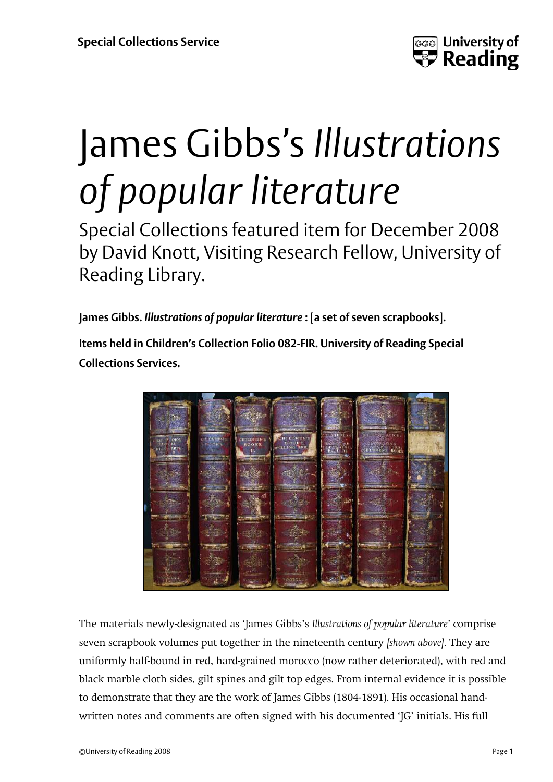

# James Gibbs's *Illustrations of popular literature*

Special Collections featured item for December 2008 by David Knott, Visiting Research Fellow, University of Reading Library.

**James Gibbs.** *Illustrations of popular literature* **: [a set of seven scrapbooks].**

**Items held in Children's Collection Folio 082-FIR. University of Reading Special Collections Services.**



The materials newly-designated as 'James Gibbs's *Illustrations of popular literature'* comprise seven scrapbook volumes put together in the nineteenth century *[shown above].* They are uniformly half-bound in red, hard-grained morocco (now rather deteriorated), with red and black marble cloth sides, gilt spines and gilt top edges. From internal evidence it is possible to demonstrate that they are the work of James Gibbs (1804-1891). His occasional handwritten notes and comments are often signed with his documented 'JG' initials. His full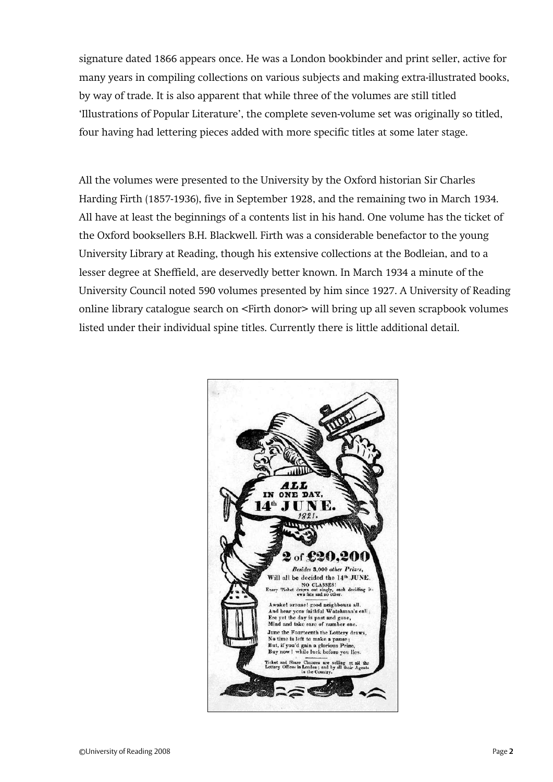signature dated 1866 appears once. He was a London bookbinder and print seller, active for many years in compiling collections on various subjects and making extra-illustrated books, by way of trade. It is also apparent that while three of the volumes are still titled 'Illustrations of Popular Literature', the complete seven-volume set was originally so titled, four having had lettering pieces added with more specific titles at some later stage.

All the volumes were presented to the University by the Oxford historian Sir Charles Harding Firth (1857-1936), five in September 1928, and the remaining two in March 1934. All have at least the beginnings of a contents list in his hand. One volume has the ticket of the Oxford booksellers B.H. Blackwell. Firth was a considerable benefactor to the young University Library at Reading, though his extensive collections at the Bodleian, and to a lesser degree at Sheffield, are deservedly better known. In March 1934 a minute of the University Council noted 590 volumes presented by him since 1927. A University of Reading online library catalogue search on <Firth donor> will bring up all seven scrapbook volumes listed under their individual spine titles. Currently there is little additional detail.

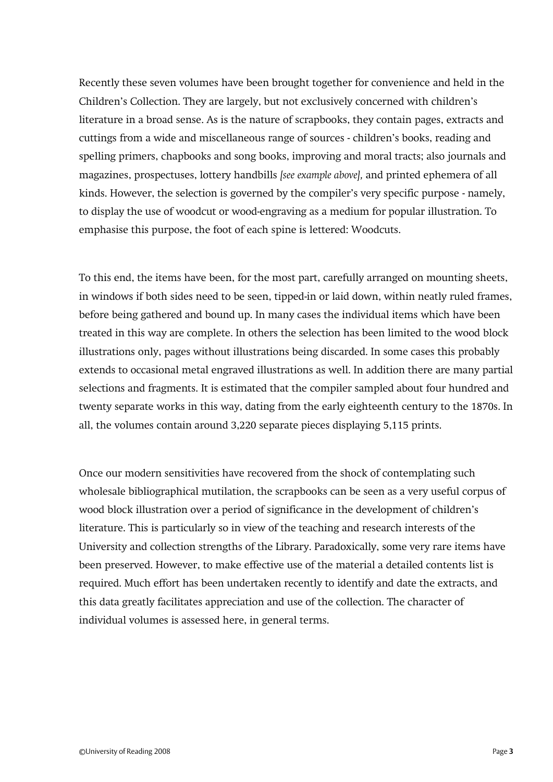Recently these seven volumes have been brought together for convenience and held in the Children's Collection. They are largely, but not exclusively concerned with children's literature in a broad sense. As is the nature of scrapbooks, they contain pages, extracts and cuttings from a wide and miscellaneous range of sources - children's books, reading and spelling primers, chapbooks and song books, improving and moral tracts; also journals and magazines, prospectuses, lottery handbills *[see example above],* and printed ephemera of all kinds. However, the selection is governed by the compiler's very specific purpose - namely, to display the use of woodcut or wood-engraving as a medium for popular illustration. To emphasise this purpose, the foot of each spine is lettered: Woodcuts.

To this end, the items have been, for the most part, carefully arranged on mounting sheets, in windows if both sides need to be seen, tipped-in or laid down, within neatly ruled frames, before being gathered and bound up. In many cases the individual items which have been treated in this way are complete. In others the selection has been limited to the wood block illustrations only, pages without illustrations being discarded. In some cases this probably extends to occasional metal engraved illustrations as well. In addition there are many partial selections and fragments. It is estimated that the compiler sampled about four hundred and twenty separate works in this way, dating from the early eighteenth century to the 1870s. In all, the volumes contain around 3,220 separate pieces displaying 5,115 prints.

Once our modern sensitivities have recovered from the shock of contemplating such wholesale bibliographical mutilation, the scrapbooks can be seen as a very useful corpus of wood block illustration over a period of significance in the development of children's literature. This is particularly so in view of the teaching and research interests of the University and collection strengths of the Library. Paradoxically, some very rare items have been preserved. However, to make effective use of the material a detailed contents list is required. Much effort has been undertaken recently to identify and date the extracts, and this data greatly facilitates appreciation and use of the collection. The character of individual volumes is assessed here, in general terms.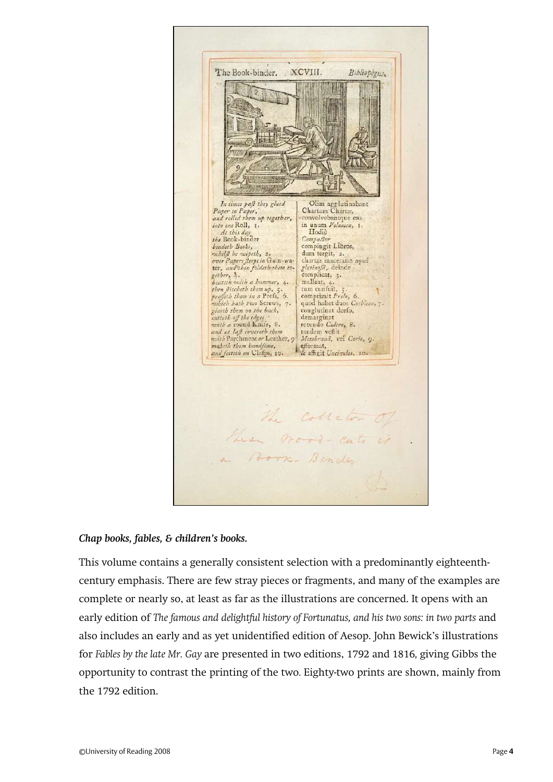

#### *Chap books, fables, & children's books.*

This volume contains a generally consistent selection with a predominantly eighteenthcentury emphasis. There are few stray pieces or fragments, and many of the examples are complete or nearly so, at least as far as the illustrations are concerned. It opens with an early edition of *The famous and delightful history of Fortunatus, and his two sons: in two parts and* also includes an early and as yet unidentified edition of Aesop. John Bewick's illustrations for *Fables by the late Mr. Gay* are presented in two editions, 1792 and 1816*,* giving Gibbs the opportunity to contrast the printing of the two*.* Eighty-two prints are shown, mainly from the 1792 edition.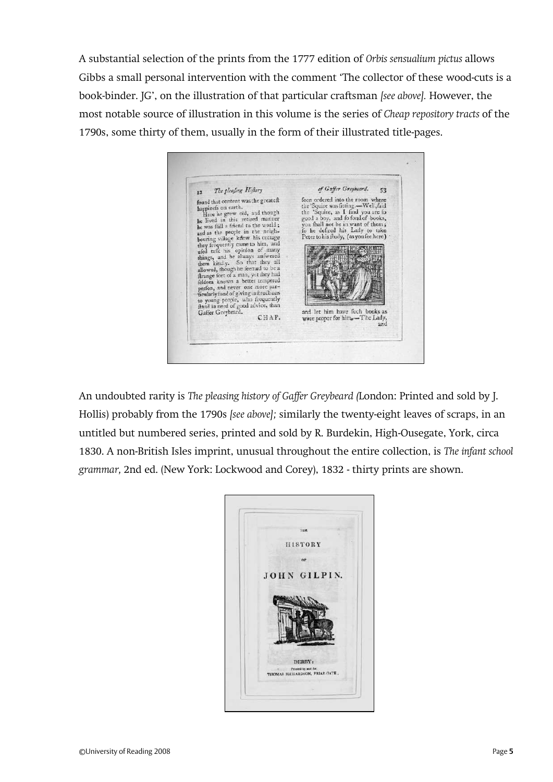A substantial selection of the prints from the 1777 edition of *Orbis sensualium pictus* allows Gibbs a small personal intervention with the comment 'The collector of these wood-cuts is a book-binder. JG', on the illustration of that particular craftsman *[see above].* However, the most notable source of illustration in this volume is the series of *Cheap repository tracts* of the 1790s, some thirty of them, usually in the form of their illustrated title-pages.

of Gaffer Greybeard. The pleafing Hiftory 53  $\overline{\cdots}$ foon ordered into the room where found that content was the greateft foon ordered into the room where<br>the 'Squire was fitting.—Well, faid<br>the 'Squire, as I find you are to<br>good a boy, and fo fond of books,<br>you fall not be in want of them,<br>fo he defired his Lady to take found that content was alleged<br>and the lived in this retired manner<br>he lived in this retired manner<br>he was fill a friend to the world s<br>when the world s he hower in time reuted to the world;<br>and as the population of the world;<br>and as the people in the neighboring village knew his cottage<br>between the properties they frequently cance to him, and<br>the draft his opinion of many Peter to his fludy, (as you fee here) **MILLION CONTROL** and let him have fuch books as were proper for him.-The Lady and

An undoubted rarity is *The pleasing history of Gaffer Greybeard (*London: Printed and sold by J. Hollis) probably from the 1790s *[see above];* similarly the twenty-eight leaves of scraps, in an untitled but numbered series, printed and sold by R. Burdekin, High-Ousegate, York, circa 1830. A non-British Isles imprint, unusual throughout the entire collection, is *The infant school grammar,* 2nd ed. (New York: Lockwood and Corey), 1832 - thirty prints are shown.

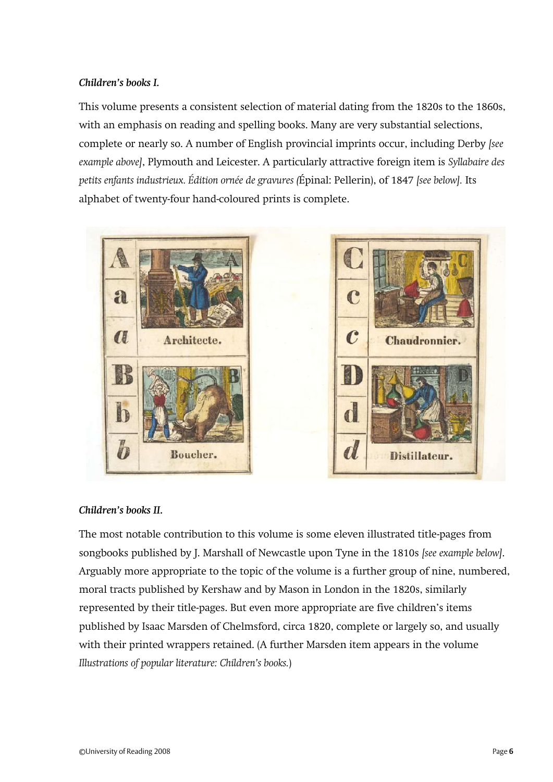## *Children's books I.*

This volume presents a consistent selection of material dating from the 1820s to the 1860s, with an emphasis on reading and spelling books. Many are very substantial selections, complete or nearly so. A number of English provincial imprints occur, including Derby *[see example above]*, Plymouth and Leicester. A particularly attractive foreign item is *Syllabaire des petits enfants industrieux. Édition ornée de gravures (*Épinal: Pellerin), of 1847 *[see below].* Its alphabet of twenty-four hand-coloured prints is complete.



## *Children's books II.*

The most notable contribution to this volume is some eleven illustrated title-pages from songbooks published by J. Marshall of Newcastle upon Tyne in the 1810s *[see example below]*. Arguably more appropriate to the topic of the volume is a further group of nine, numbered, moral tracts published by Kershaw and by Mason in London in the 1820s, similarly represented by their title-pages. But even more appropriate are five children's items published by Isaac Marsden of Chelmsford, circa 1820, complete or largely so, and usually with their printed wrappers retained. (A further Marsden item appears in the volume *Illustrations of popular literature: Children's books.*)

**Chaudronnier.** 

Distillateur.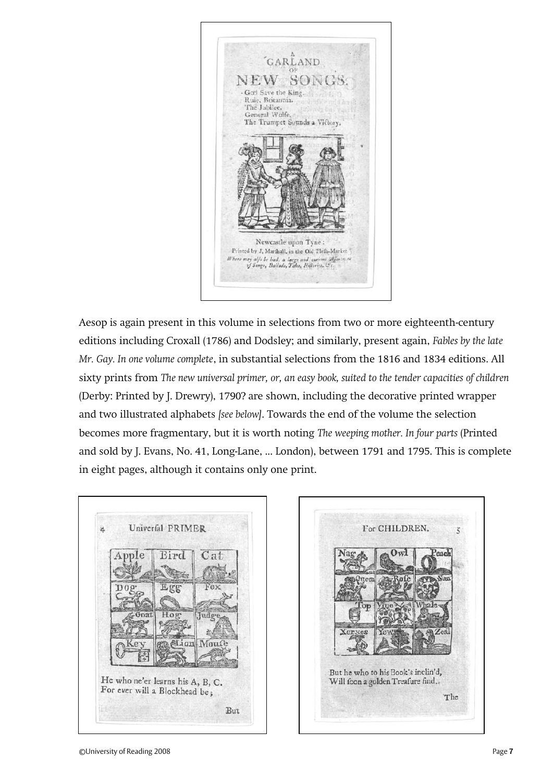

Aesop is again present in this volume in selections from two or more eighteenth-century editions including Croxall (1786) and Dodsley; and similarly, present again, *Fables by the late Mr. Gay. In one volume complete*, in substantial selections from the 1816 and 1834 editions. All sixty prints from *The new universal primer, or, an easy book, suited to the tender capacities of children*  (Derby: Printed by J. Drewry), 1790? are shown, including the decorative printed wrapper and two illustrated alphabets *[see below]*. Towards the end of the volume the selection becomes more fragmentary, but it is worth noting *The weeping mother. In four parts* (Printed and sold by J. Evans, No. 41, Long-Lane, ... London), between 1791 and 1795. This is complete in eight pages, although it contains only one print.



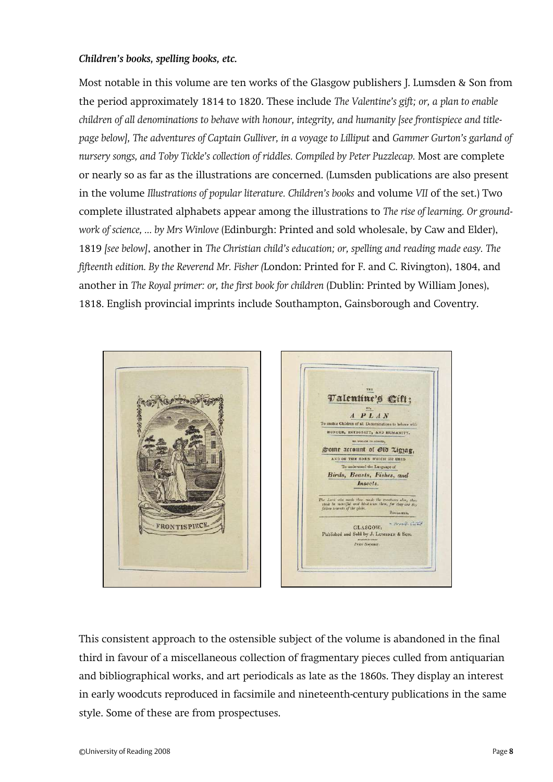#### *Children's books, spelling books, etc.*

Most notable in this volume are ten works of the Glasgow publishers J. Lumsden & Son from the period approximately 1814 to 1820. These include *The Valentine's gift; or, a plan to enable children of all denominations to behave with honour, integrity, and humanity [see frontispiece and titlepage below], The adventures of Captain Gulliver, in a voyage to Lilliput* and *Gammer Gurton's garland of nursery songs, and Toby Tickle's collection of riddles. Compiled by Peter Puzzlecap.* Most are complete or nearly so as far as the illustrations are concerned. (Lumsden publications are also present in the volume *Illustrations of popular literature. Children's books* and volume *VII* of the set.) Two complete illustrated alphabets appear among the illustrations to *The rise of learning. Or groundwork of science, ... by Mrs Winlove* (Edinburgh: Printed and sold wholesale, by Caw and Elder), 1819 *[see below]*, another in *The Christian child's education; or, spelling and reading made easy. The fifteenth edition. By the Reverend Mr. Fisher (*London: Printed for F. and C. Rivington), 1804, and another in *The Royal primer: or, the first book for children* (Dublin: Printed by William Jones), 1818. English provincial imprints include Southampton, Gainsborough and Coventry.



This consistent approach to the ostensible subject of the volume is abandoned in the final third in favour of a miscellaneous collection of fragmentary pieces culled from antiquarian and bibliographical works, and art periodicals as late as the 1860s. They display an interest in early woodcuts reproduced in facsimile and nineteenth-century publications in the same style. Some of these are from prospectuses.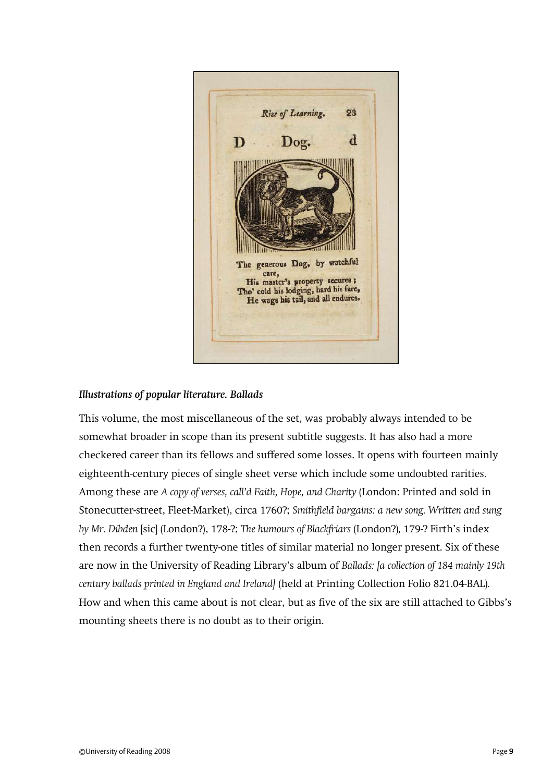

## *Illustrations of popular literature. Ballads*

This volume, the most miscellaneous of the set, was probably always intended to be somewhat broader in scope than its present subtitle suggests. It has also had a more checkered career than its fellows and suffered some losses. It opens with fourteen mainly eighteenth-century pieces of single sheet verse which include some undoubted rarities. Among these are *A copy of verses, call'd Faith, Hope, and Charity* (London: Printed and sold in Stonecutter-street, Fleet-Market), circa 1760?; *Smithfield bargains: a new song. Written and sung by Mr. Dibden* [sic] (London?), 178-?; *The humours of Blackfriars* (London?)*,* 179-? Firth's index then records a further twenty-one titles of similar material no longer present. Six of these are now in the University of Reading Library's album of *Ballads: [a collection of 184 mainly 19th century ballads printed in England and Ireland]* (held at Printing Collection Folio 821.04-BAL)*.*  How and when this came about is not clear, but as five of the six are still attached to Gibbs's mounting sheets there is no doubt as to their origin.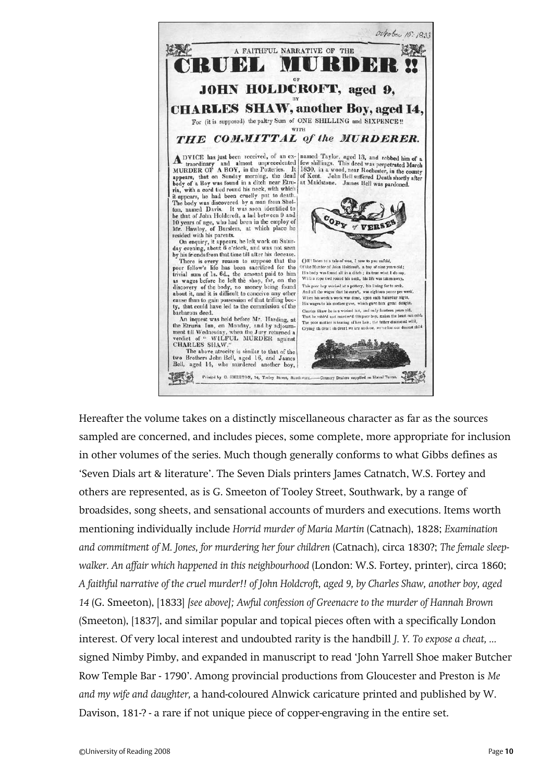

Hereafter the volume takes on a distinctly miscellaneous character as far as the sources sampled are concerned, and includes pieces, some complete, more appropriate for inclusion in other volumes of the series. Much though generally conforms to what Gibbs defines as 'Seven Dials art & literature'. The Seven Dials printers James Catnatch, W.S. Fortey and others are represented, as is G. Smeeton of Tooley Street, Southwark, by a range of broadsides, song sheets, and sensational accounts of murders and executions. Items worth mentioning individually include *Horrid murder of Maria Martin* (Catnach), 1828; *Examination and commitment of M. Jones, for murdering her four children* (Catnach), circa 1830?; *The female sleepwalker. An affair which happened in this neighbourhood* (London: W.S. Fortey, printer), circa 1860; *A faithful narrative of the cruel murder!! of John Holdcroft, aged 9, by Charles Shaw, another boy, aged 14* (G. Smeeton), [1833] *[see above]; Awful confession of Greenacre to the murder of Hannah Brown*  (Smeeton), [1837], and similar popular and topical pieces often with a specifically London interest. Of very local interest and undoubted rarity is the handbill *J. Y. To expose a cheat, ...*  signed Nimby Pimby, and expanded in manuscript to read 'John Yarrell Shoe maker Butcher Row Temple Bar - 1790'. Among provincial productions from Gloucester and Preston is *Me and my wife and daughter,* a hand-coloured Alnwick caricature printed and published by W. Davison, 181-? - a rare if not unique piece of copper-engraving in the entire set.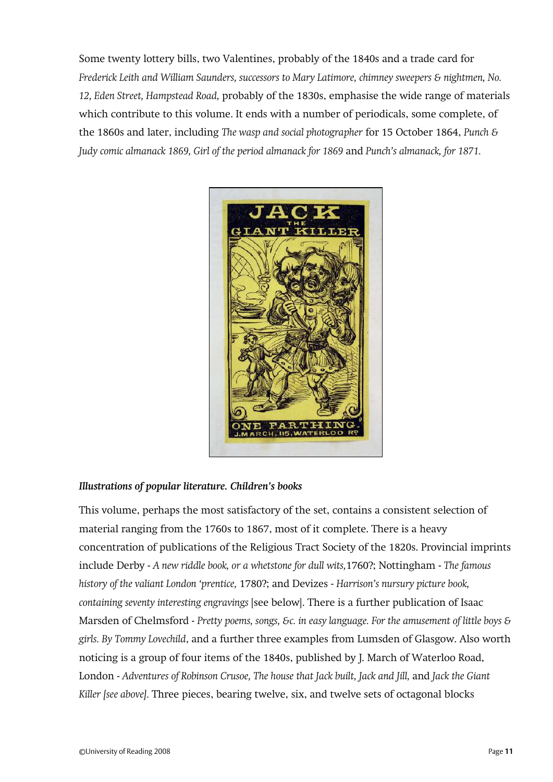Some twenty lottery bills, two Valentines, probably of the 1840s and a trade card for *Frederick Leith and William Saunders, successors to Mary Latimore, chimney sweepers & nightmen, No. 12, Eden Street, Hampstead Road,* probably of the 1830s, emphasise the wide range of materials which contribute to this volume. It ends with a number of periodicals, some complete, of the 1860s and later, including *The wasp and social photographer* for 15 October 1864, *Punch & Judy comic almanack 1869, Girl of the period almanack for 1869 and Punch's almanack, for 1871.* 



## *Illustrations of popular literature. Children's books*

This volume, perhaps the most satisfactory of the set, contains a consistent selection of material ranging from the 1760s to 1867, most of it complete. There is a heavy concentration of publications of the Religious Tract Society of the 1820s. Provincial imprints include Derby - *A new riddle book, or a whetstone for dull wits,*1760?; Nottingham - *The famous history of the valiant London 'prentice,* 1780?; and Devizes - *Harrison's nursury picture book, containing seventy interesting engravings* [see below]. There is a further publication of Isaac Marsden of Chelmsford - *Pretty poems, songs, &c. in easy language. For the amusement of little boys & girls. By Tommy Lovechild*, and a further three examples from Lumsden of Glasgow. Also worth noticing is a group of four items of the 1840s, published by J. March of Waterloo Road, London - *Adventures of Robinson Crusoe, The house that Jack built, Jack and Jill,* and *Jack the Giant Killer [see above].* Three pieces, bearing twelve, six, and twelve sets of octagonal blocks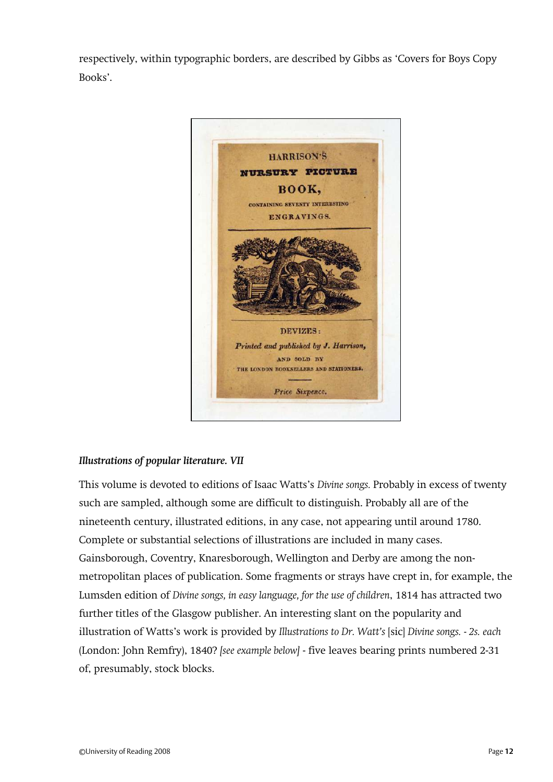respectively, within typographic borders, are described by Gibbs as 'Covers for Boys Copy Books'.



## *Illustrations of popular literature. VII*

This volume is devoted to editions of Isaac Watts's *Divine songs.* Probably in excess of twenty such are sampled, although some are difficult to distinguish. Probably all are of the nineteenth century, illustrated editions, in any case, not appearing until around 1780. Complete or substantial selections of illustrations are included in many cases. Gainsborough, Coventry, Knaresborough, Wellington and Derby are among the nonmetropolitan places of publication. Some fragments or strays have crept in, for example, the Lumsden edition of *Divine songs, in easy language, for the use of children*, 1814 has attracted two further titles of the Glasgow publisher. An interesting slant on the popularity and illustration of Watts's work is provided by *Illustrations to Dr. Watt's* [sic] *Divine songs. - 2s. each*  (London: John Remfry), 1840? *[see example below]* - five leaves bearing prints numbered 2-31 of, presumably, stock blocks.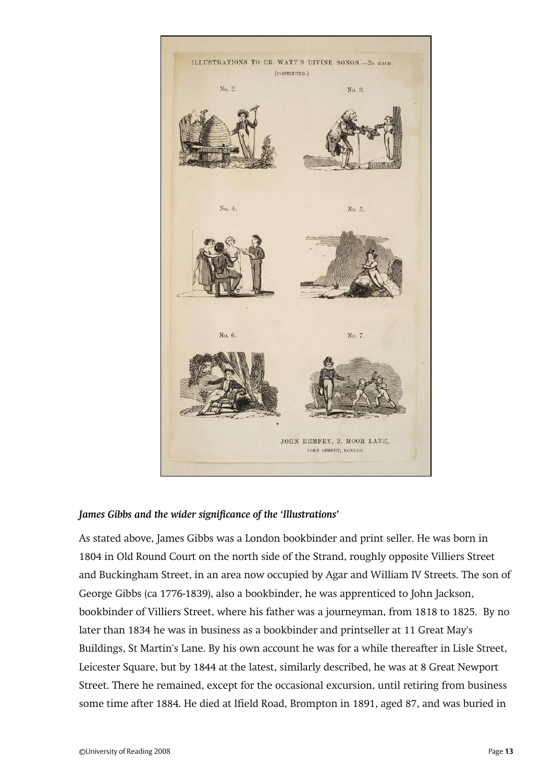

#### *James Gibbs and the wider significance of the 'Illustrations'*

As stated above, James Gibbs was a London bookbinder and print seller. He was born in 1804 in Old Round Court on the north side of the Strand, roughly opposite Villiers Street and Buckingham Street, in an area now occupied by Agar and William IV Streets. The son of George Gibbs (ca 1776-1839), also a bookbinder, he was apprenticed to John Jackson, bookbinder of Villiers Street, where his father was a journeyman, from 1818 to 1825. By no later than 1834 he was in business as a bookbinder and printseller at 11 Great May's Buildings, St Martin's Lane. By his own account he was for a while thereafter in Lisle Street, Leicester Square, but by 1844 at the latest, similarly described, he was at 8 Great Newport Street. There he remained, except for the occasional excursion, until retiring from business some time after 1884. He died at Ifield Road, Brompton in 1891, aged 87, and was buried in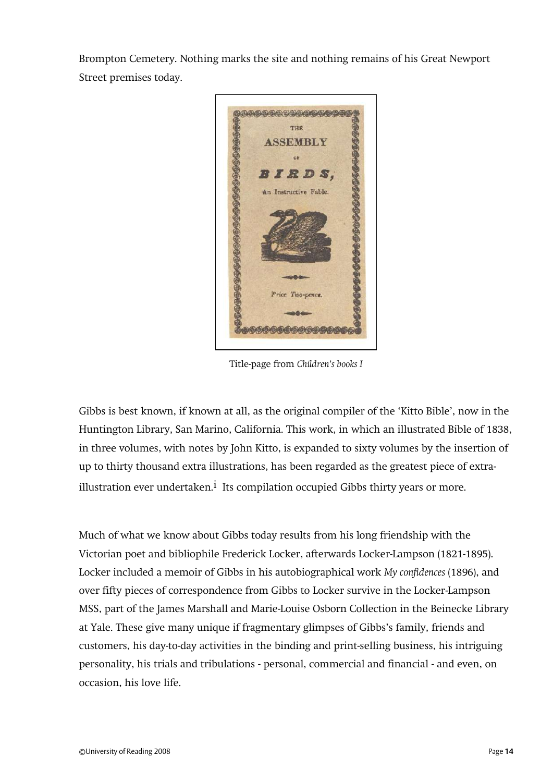Brompton Cemetery. Nothing marks the site and nothing remains of his Great Newport Street premises today.



Title-page from *Children's books I*

Gibbs is best known, if known at all, as the original compiler of the 'Kitto Bible', now in the Huntington Library, San Marino, California. This work, in which an illustrated Bible of 1838, in three volumes, with notes by John Kitto, is expanded to sixty volumes by the insertion of up to thirty thousand extra illustrations, has been regarded as the greatest piece of extraillustration ever undertaken. $^{\text{i}}$  Its compilation occupied Gibbs thirty years or more.

Much of what we know about Gibbs today results from his long friendship with the Victorian poet and bibliophile Frederick Locker, afterwards Locker-Lampson (1821-1895). Locker included a memoir of Gibbs in his autobiographical work *My confidences* (1896), and over fifty pieces of correspondence from Gibbs to Locker survive in the Locker-Lampson MSS, part of the James Marshall and Marie-Louise Osborn Collection in the Beinecke Library at Yale. These give many unique if fragmentary glimpses of Gibbs's family, friends and customers, his day-to-day activities in the binding and print-selling business, his intriguing personality, his trials and tribulations - personal, commercial and financial - and even, on occasion, his love life.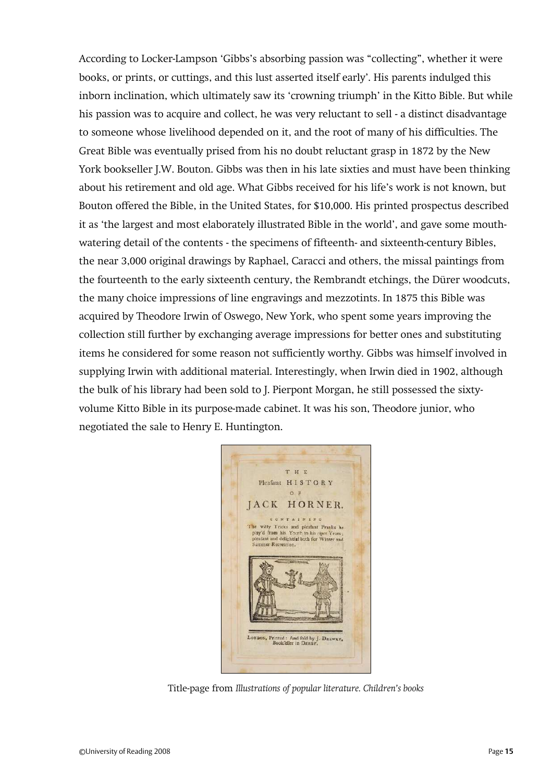According to Locker-Lampson 'Gibbs's absorbing passion was 'collecting', whether it were books, or prints, or cuttings, and this lust asserted itself early'. His parents indulged this inborn inclination, which ultimately saw its 'crowning triumph' in the Kitto Bible. But while his passion was to acquire and collect, he was very reluctant to sell - a distinct disadvantage to someone whose livelihood depended on it, and the root of many of his difficulties. The Great Bible was eventually prised from his no doubt reluctant grasp in 1872 by the New York bookseller J.W. Bouton. Gibbs was then in his late sixties and must have been thinking about his retirement and old age. What Gibbs received for his life's work is not known, but Bouton offered the Bible, in the United States, for \$10,000. His printed prospectus described it as 'the largest and most elaborately illustrated Bible in the world', and gave some mouthwatering detail of the contents - the specimens of fifteenth- and sixteenth-century Bibles, the near 3,000 original drawings by Raphael, Caracci and others, the missal paintings from the fourteenth to the early sixteenth century, the Rembrandt etchings, the Dürer woodcuts, the many choice impressions of line engravings and mezzotints. In 1875 this Bible was acquired by Theodore Irwin of Oswego, New York, who spent some years improving the collection still further by exchanging average impressions for better ones and substituting items he considered for some reason not sufficiently worthy. Gibbs was himself involved in supplying Irwin with additional material. Interestingly, when Irwin died in 1902, although the bulk of his library had been sold to J. Pierpont Morgan, he still possessed the sixtyvolume Kitto Bible in its purpose-made cabinet. It was his son, Theodore junior, who negotiated the sale to Henry E. Huntington.



Title-page from *Illustrations of popular literature. Children's books*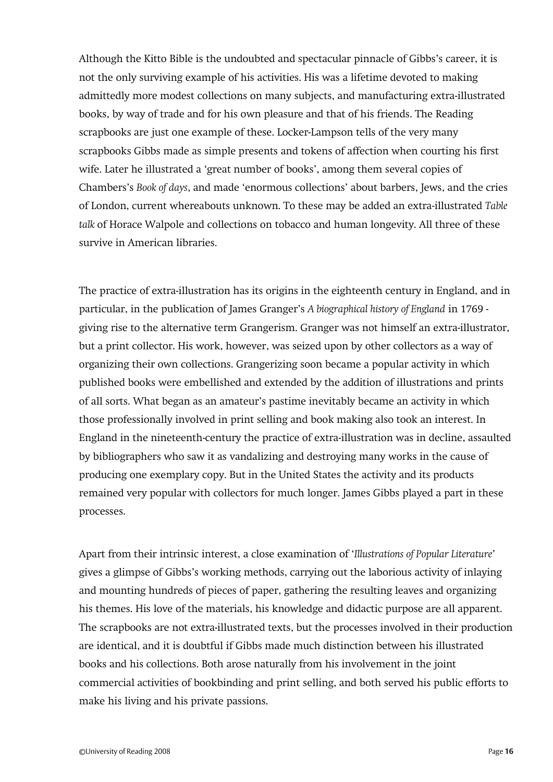Although the Kitto Bible is the undoubted and spectacular pinnacle of Gibbs's career, it is not the only surviving example of his activities. His was a lifetime devoted to making admittedly more modest collections on many subjects, and manufacturing extra-illustrated books, by way of trade and for his own pleasure and that of his friends. The Reading scrapbooks are just one example of these. Locker-Lampson tells of the very many scrapbooks Gibbs made as simple presents and tokens of affection when courting his first wife. Later he illustrated a 'great number of books', among them several copies of Chambers's *Book of days*, and made 'enormous collections' about barbers, Jews, and the cries of London, current whereabouts unknown. To these may be added an extra-illustrated *Table talk* of Horace Walpole and collections on tobacco and human longevity. All three of these survive in American libraries.

The practice of extra-illustration has its origins in the eighteenth century in England, and in particular, in the publication of James Granger's *A biographical history of England* in 1769 giving rise to the alternative term Grangerism. Granger was not himself an extra-illustrator, but a print collector. His work, however, was seized upon by other collectors as a way of organizing their own collections. Grangerizing soon became a popular activity in which published books were embellished and extended by the addition of illustrations and prints of all sorts. What began as an amateur's pastime inevitably became an activity in which those professionally involved in print selling and book making also took an interest. In England in the nineteenth-century the practice of extra-illustration was in decline, assaulted by bibliographers who saw it as vandalizing and destroying many works in the cause of producing one exemplary copy. But in the United States the activity and its products remained very popular with collectors for much longer. James Gibbs played a part in these processes.

Apart from their intrinsic interest, a close examination of '*Illustrations of Popular Literature*' gives a glimpse of Gibbs's working methods, carrying out the laborious activity of inlaying and mounting hundreds of pieces of paper, gathering the resulting leaves and organizing his themes. His love of the materials, his knowledge and didactic purpose are all apparent. The scrapbooks are not extra-illustrated texts, but the processes involved in their production are identical, and it is doubtful if Gibbs made much distinction between his illustrated books and his collections. Both arose naturally from his involvement in the joint commercial activities of bookbinding and print selling, and both served his public efforts to make his living and his private passions.